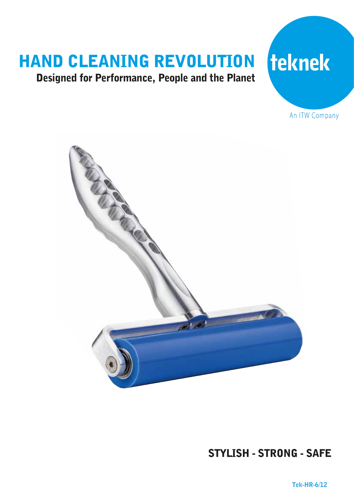## HAND CLEANING REVOLUTION

## Designed for Performance, People and the Planet

# teknek

An ITW Company



## STYLISH - STRONG - SAFE

Tek-HR-6/12